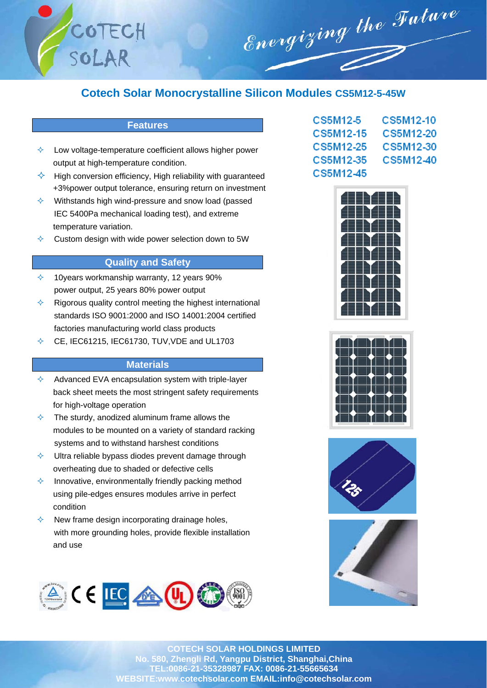

# **Cotech Solar Monocrystalline Silicon Modules CS5M12-5-45W**

## **Features**

- Low voltage-temperature coefficient allows higher power output at high-temperature condition.
- $\Diamond$  High conversion efficiency, High reliability with guaranteed +3%power output tolerance, ensuring return on investment
- $\Diamond$  Withstands high wind-pressure and snow load (passed IEC 5400Pa mechanical loading test), and extreme temperature variation.
- $\Diamond$  Custom design with wide power selection down to 5W

## **Quality and Safety**

- $\div$  10 years workmanship warranty, 12 years 90% power output, 25 years 80% power output
- $\Diamond$  Rigorous quality control meeting the highest international standards ISO 9001:2000 and ISO 14001:2004 certified factories manufacturing world class products
- $\div$  CE, IEC61215, IEC61730, TUV, VDE and UL1703

### **Materials**

- $\Diamond$  Advanced EVA encapsulation system with triple-layer back sheet meets the most stringent safety requirements for high-voltage operation
- $\Diamond$  The sturdy, anodized aluminum frame allows the modules to be mounted on a variety of standard racking systems and to withstand harshest conditions
- $\Diamond$  Ultra reliable bypass diodes prevent damage through overheating due to shaded or defective cells
- Innovative, environmentally friendly packing method using pile-edges ensures modules arrive in perfect condition
- New frame design incorporating drainage holes, with more grounding holes, provide flexible installation and use



| CS5M12-5  | CS5M12-10 |
|-----------|-----------|
| CS5M12-15 | CS5M12-20 |
| CS5M12-25 | CS5M12-30 |
| CS5M12-35 | CS5M12-40 |
| CS5M12-45 |           |









**COTECH SOLAR HOLDINGS LIMITED No. 580, Zhengli Rd, Yangpu District, Shanghai,China TEL:0086-21-35328987 FAX: 0086-21-55665634 WEBSITE:www.cotechsolar.com EMAIL:info@cotechsolar.com**